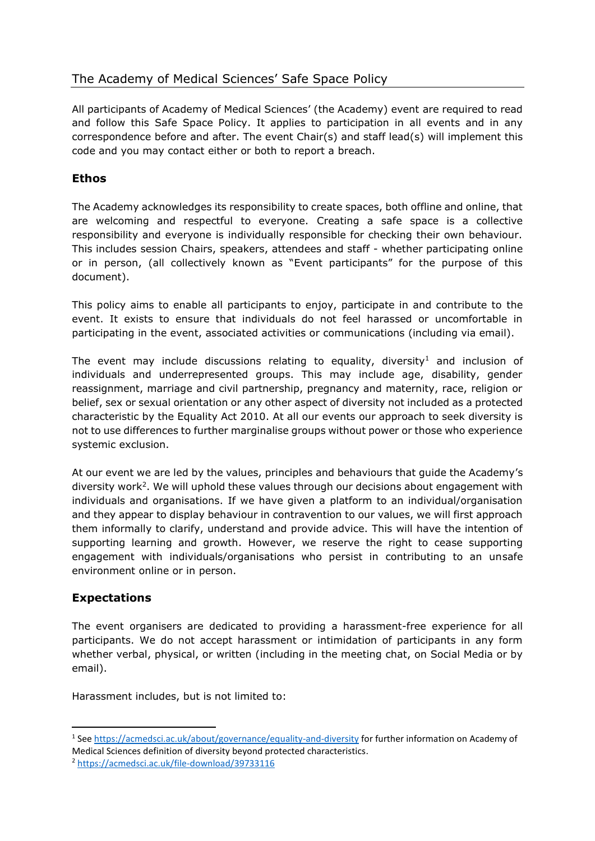## The Academy of Medical Sciences' Safe Space Policy

All participants of Academy of Medical Sciences' (the Academy) event are required to read and follow this Safe Space Policy. It applies to participation in all events and in any correspondence before and after. The event Chair(s) and staff lead(s) will implement this code and you may contact either or both to report a breach.

## **Ethos**

The Academy acknowledges its responsibility to create spaces, both offline and online, that are welcoming and respectful to everyone. Creating a safe space is a collective responsibility and everyone is individually responsible for checking their own behaviour. This includes session Chairs, speakers, attendees and staff - whether participating online or in person, (all collectively known as "Event participants" for the purpose of this document).

This policy aims to enable all participants to enjoy, participate in and contribute to the event. It exists to ensure that individuals do not feel harassed or uncomfortable in participating in the event, associated activities or communications (including via email).

The event may include discussions relating to equality, diversity<sup>1</sup> and inclusion of individuals and underrepresented groups. This may include age, disability, gender reassignment, marriage and civil partnership, pregnancy and maternity, race, religion or belief, sex or sexual orientation or any other aspect of diversity not included as a protected characteristic by the Equality Act 2010. At all our events our approach to seek diversity is not to use differences to further marginalise groups without power or those who experience systemic exclusion.

At our event we are led by the values, principles and behaviours that guide the Academy's diversity work<sup>2</sup>. We will uphold these values through our decisions about engagement with individuals and organisations. If we have given a platform to an individual/organisation and they appear to display behaviour in contravention to our values, we will first approach them informally to clarify, understand and provide advice. This will have the intention of supporting learning and growth. However, we reserve the right to cease supporting engagement with individuals/organisations who persist in contributing to an unsafe environment online or in person.

## **Expectations**

The event organisers are dedicated to providing a harassment-free experience for all participants. We do not accept harassment or intimidation of participants in any form whether verbal, physical, or written (including in the meeting chat, on Social Media or by email).

Harassment includes, but is not limited to:

<sup>&</sup>lt;sup>1</sup> See<https://acmedsci.ac.uk/about/governance/equality-and-diversity> for further information on Academy of Medical Sciences definition of diversity beyond protected characteristics.

<sup>2</sup> <https://acmedsci.ac.uk/file-download/39733116>